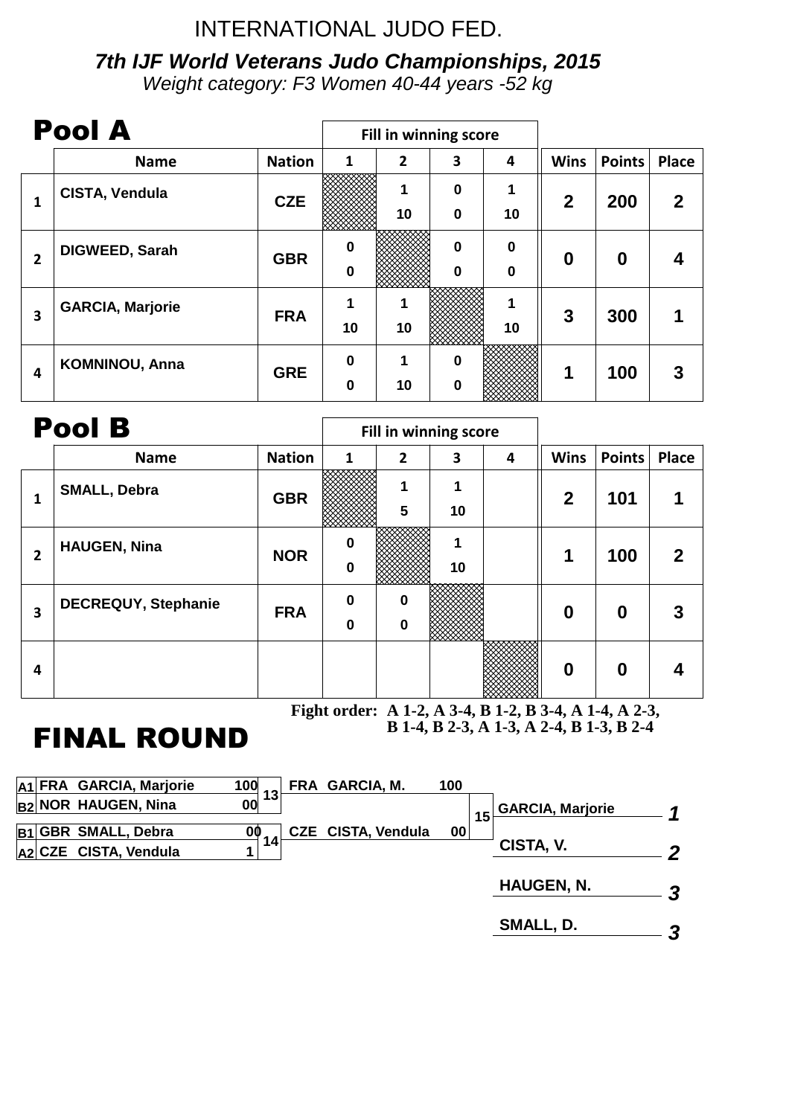# INTERNATIONAL JUDO FED.

# **7th IJF World Veterans Judo Championships, 2015**

Weight category: F3 Women 40-44 years -52 kg

|              | <b>Pool A</b>           |               | Fill in winning score |                |                                      |                                 |                  |                  |              |
|--------------|-------------------------|---------------|-----------------------|----------------|--------------------------------------|---------------------------------|------------------|------------------|--------------|
|              | <b>Name</b>             | <b>Nation</b> | 1                     | $\overline{2}$ | 3                                    | 4                               | <b>Wins</b>      | <b>Points</b>    | <b>Place</b> |
| 1            | CISTA, Vendula          | <b>CZE</b>    |                       | 1<br>10        | $\boldsymbol{0}$<br>$\boldsymbol{0}$ | 1<br>10                         | $\boldsymbol{2}$ | 200              | $\mathbf{2}$ |
| $\mathbf{2}$ | <b>DIGWEED, Sarah</b>   | <b>GBR</b>    | $\bf{0}$<br>$\bf{0}$  |                | $\bf{0}$<br>$\bf{0}$                 | $\mathbf 0$<br>$\boldsymbol{0}$ | $\boldsymbol{0}$ | $\boldsymbol{0}$ |              |
| 3            | <b>GARCIA, Marjorie</b> | <b>FRA</b>    | 1<br>10               | 10             |                                      | 1<br>10                         | 3                | 300              |              |
| 4            | <b>KOMNINOU, Anna</b>   | <b>GRE</b>    | $\bf{0}$<br>$\bf{0}$  | 1<br>10        | $\bf{0}$<br>$\bf{0}$                 |                                 | 1                | 100              | 3            |

|   | <b>Pool B</b>              |               | Fill in winning score |                            |         |   |                  |                  |              |
|---|----------------------------|---------------|-----------------------|----------------------------|---------|---|------------------|------------------|--------------|
|   | <b>Name</b>                | <b>Nation</b> | 1                     | $\overline{2}$             | 3       | 4 | <b>Wins</b>      | <b>Points</b>    | <b>Place</b> |
| 1 | <b>SMALL, Debra</b>        | <b>GBR</b>    |                       | 1<br>$5\phantom{1}$        | 1<br>10 |   | $\mathbf{2}$     | 101              |              |
| 2 | <b>HAUGEN, Nina</b>        | <b>NOR</b>    | $\bf{0}$<br>$\bf{0}$  |                            | 10      |   | 1                | 100              | $\mathbf{2}$ |
| 3 | <b>DECREQUY, Stephanie</b> | <b>FRA</b>    | $\bf{0}$<br>$\bf{0}$  | $\mathbf 0$<br>$\mathbf 0$ |         |   | $\boldsymbol{0}$ | $\boldsymbol{0}$ | 3            |
| 4 |                            |               |                       |                            |         |   | $\boldsymbol{0}$ | $\boldsymbol{0}$ |              |

**Fight order: A 1-2, A 3-4, B 1-2, B 3-4, A 1-4, A 2-3, B 1-4, B 2-3, A 1-3, A 2-4, B 1-3, B 2-4**

# FINAL ROUND

|  | 100                                                                                                               |          | 100                                         |                   |                                            |
|--|-------------------------------------------------------------------------------------------------------------------|----------|---------------------------------------------|-------------------|--------------------------------------------|
|  | 00                                                                                                                |          |                                             |                   | $\blacktriangleleft$                       |
|  | 00                                                                                                                |          |                                             |                   |                                            |
|  |                                                                                                                   |          |                                             |                   | $\boldsymbol{p}$                           |
|  |                                                                                                                   |          |                                             | <b>HAUGEN, N.</b> | 3                                          |
|  |                                                                                                                   |          |                                             | SMALL, D.         | 3                                          |
|  | A1 FRA GARCIA, Marjorie<br><b>B2 NOR HAUGEN, Nina</b><br>B1 GBR SMALL, Debra<br>A <sub>2</sub> CZE CISTA, Vendula | 13<br>14 | FRA GARCIA, M.<br><b>CZE CISTA, Vendula</b> | $00\,$            | <b>GARCIA, Marjorie</b><br>15<br>CISTA, V. |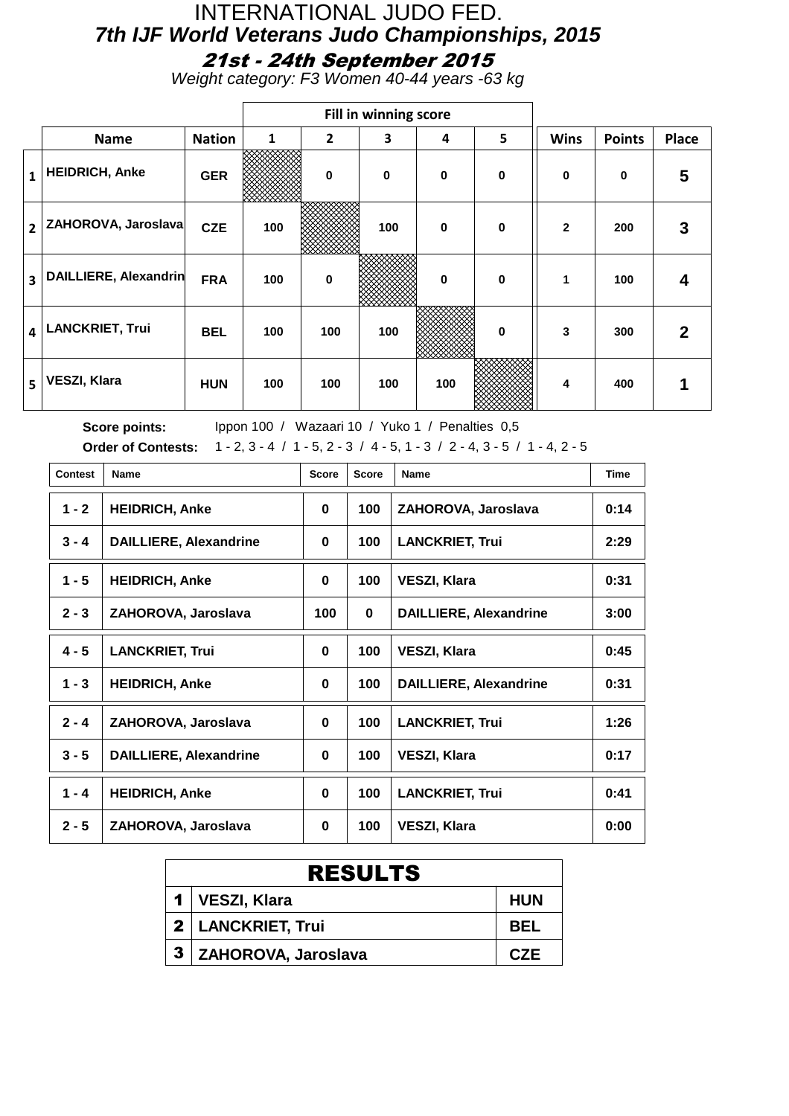#### INTERNATIONAL JUDO FED. **7th IJF World Veterans Judo Championships, 2015** 21st - 24th September 2015

Weight category: F3 Women 40-44 years -63 kg

|                |                        |               |              |          | Fill in winning score |             |             |              |               |              |
|----------------|------------------------|---------------|--------------|----------|-----------------------|-------------|-------------|--------------|---------------|--------------|
|                | <b>Name</b>            | <b>Nation</b> | $\mathbf{1}$ | 2        | 3                     | 4           | 5           | <b>Wins</b>  | <b>Points</b> | Place        |
| $\mathbf{1}$   | <b>HEIDRICH, Anke</b>  | <b>GER</b>    |              | $\bf{0}$ | $\mathbf 0$           | $\mathbf 0$ | $\mathbf 0$ | $\mathbf 0$  | $\bf{0}$      | 5            |
| $\overline{2}$ | ZAHOROVA, Jaroslava    | <b>CZE</b>    | 100          |          | 100                   | $\mathbf 0$ | $\mathbf 0$ | $\mathbf{2}$ | 200           | 3            |
| 3              | DAILLIERE, Alexandrin  | <b>FRA</b>    | 100          | $\bf{0}$ |                       | $\mathbf 0$ | $\mathbf 0$ | 1            | 100           | 4            |
| 4              | <b>LANCKRIET, Trui</b> | <b>BEL</b>    | 100          | 100      | 100                   |             | $\mathbf 0$ | 3            | 300           | $\mathbf{2}$ |
| 5              | <b>VESZI, Klara</b>    | <b>HUN</b>    | 100          | 100      | 100                   | 100         |             | 4            | 400           | 1            |

Score points: Ippon 100 / Wazaari 10 / Yuko 1 / Penalties 0,5 **Order of Contests:** 1 - 2, 3 - 4 / 1 - 5, 2 - 3 / 4 - 5, 1 - 3 / 2 - 4, 3 - 5 / 1 - 4, 2 - 5

| <b>Contest</b> | <b>Name</b>                   | <b>Score</b> | <b>Score</b> | Name                          | <b>Time</b> |
|----------------|-------------------------------|--------------|--------------|-------------------------------|-------------|
| $1 - 2$        | <b>HEIDRICH, Anke</b>         | 0            | 100          | ZAHOROVA, Jaroslava           | 0:14        |
| $3 - 4$        | <b>DAILLIERE, Alexandrine</b> | 0            | 100          | <b>LANCKRIET, Trui</b>        | 2:29        |
| $1 - 5$        | <b>HEIDRICH, Anke</b>         | 0            | 100          | <b>VESZI, Klara</b>           | 0:31        |
| $2 - 3$        | ZAHOROVA, Jaroslava           | 100          | 0            | <b>DAILLIERE, Alexandrine</b> | 3:00        |
| $4 - 5$        | <b>LANCKRIET, Trui</b>        | 0            | 100          | <b>VESZI, Klara</b>           | 0:45        |
| $1 - 3$        | <b>HEIDRICH, Anke</b>         | 0            | 100          | <b>DAILLIERE, Alexandrine</b> | 0:31        |
| $2 - 4$        | ZAHOROVA, Jaroslava           | 0            | 100          | <b>LANCKRIET, Trui</b>        | 1:26        |
| $3 - 5$        | <b>DAILLIERE, Alexandrine</b> | 0            | 100          | <b>VESZI, Klara</b>           | 0:17        |
| $1 - 4$        | <b>HEIDRICH, Anke</b>         | 0            | 100          | <b>LANCKRIET, Trui</b>        | 0:41        |
| $2 - 5$        | ZAHOROVA, Jaroslava           | 0            | 100          | <b>VESZI, Klara</b>           | 0:00        |

| <b>RESULTS</b>        |            |  |  |  |  |  |  |  |
|-----------------------|------------|--|--|--|--|--|--|--|
| 1   VESZI, Klara      | <b>HUN</b> |  |  |  |  |  |  |  |
| 2   LANCKRIET, Trui   | <b>BEL</b> |  |  |  |  |  |  |  |
| 3 ZAHOROVA, Jaroslava | C.ZF       |  |  |  |  |  |  |  |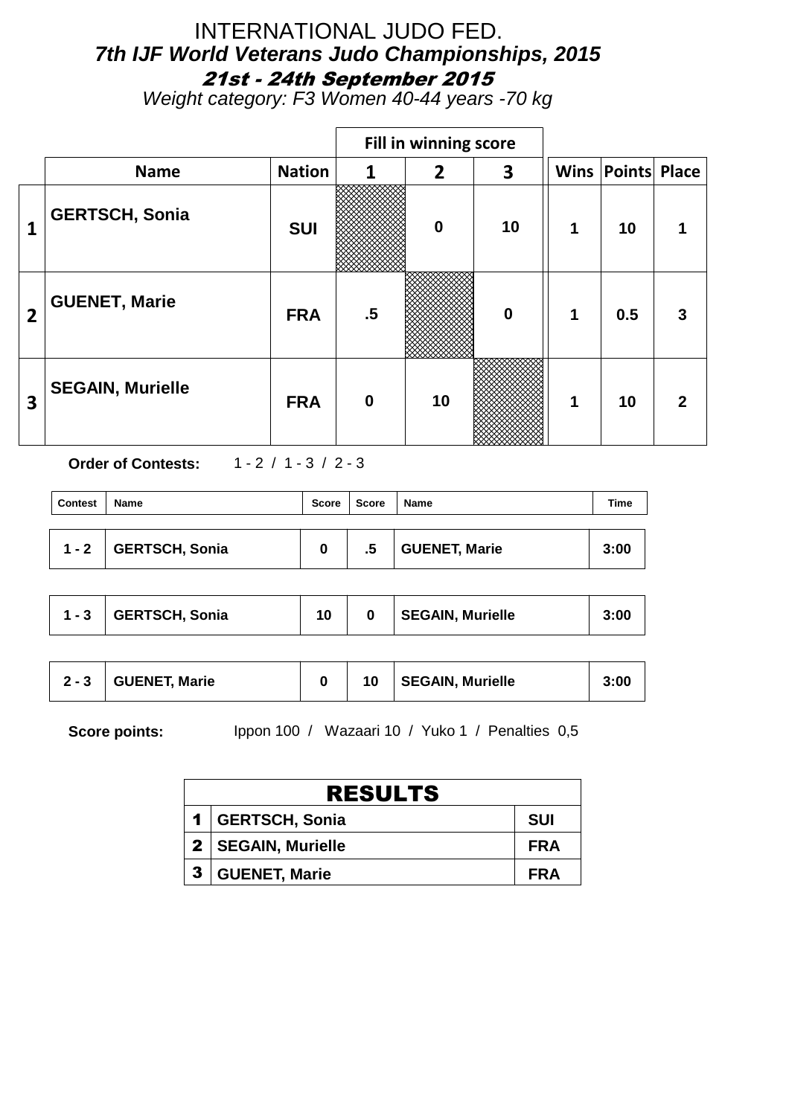### INTERNATIONAL JUDO FED. **7th IJF World Veterans Judo Championships, 2015** 21st - 24th September 2015

Weight category: F3 Women 40-44 years -70 kg

|                |                         |               |              | Fill in winning score |                  |   |                          |   |
|----------------|-------------------------|---------------|--------------|-----------------------|------------------|---|--------------------------|---|
|                | <b>Name</b>             | <b>Nation</b> | $\mathbf{1}$ | $\overline{2}$        | 3                |   | <b>Wins Points Place</b> |   |
| 1              | <b>GERTSCH, Sonia</b>   | <b>SUI</b>    |              | $\mathbf 0$           | 10               | 1 | 10                       |   |
| $\overline{2}$ | <b>GUENET, Marie</b>    | <b>FRA</b>    | $.5\,$       |                       | $\boldsymbol{0}$ | 1 | 0.5                      | 3 |
| 3              | <b>SEGAIN, Murielle</b> | <b>FRA</b>    | $\mathbf 0$  | 10                    |                  | 1 | 10                       | 2 |

**Order of Contests:** 1 - 2 / 1 - 3 / 2 - 3

| <b>Contest</b> | <b>Name</b>    | Score | <b>Score</b> | Name          | Time |
|----------------|----------------|-------|--------------|---------------|------|
| $1 - 2$        | GERTSCH, Sonia | 0     | .5           | GUENET, Marie | 3:00 |

| $1 - 3$ | GERTSCH, Sonia |  |  | <b>SEGAIN, Murielle</b> | 3:00 |
|---------|----------------|--|--|-------------------------|------|
|---------|----------------|--|--|-------------------------|------|

|  | $2 - 3$ GUENET, Marie |  | 10 | SEGAIN, Murielle | 3:00 |
|--|-----------------------|--|----|------------------|------|
|--|-----------------------|--|----|------------------|------|

**Score points:** Ippon 100 / Wazaari 10 / Yuko 1 / Penalties 0,5

| <b>RESULTS</b>       |            |  |  |  |  |  |  |  |  |
|----------------------|------------|--|--|--|--|--|--|--|--|
| 1   GERTSCH, Sonia   | <b>SUI</b> |  |  |  |  |  |  |  |  |
| 2   SEGAIN, Murielle | <b>FRA</b> |  |  |  |  |  |  |  |  |
| 3   GUENET, Marie    | <b>FRA</b> |  |  |  |  |  |  |  |  |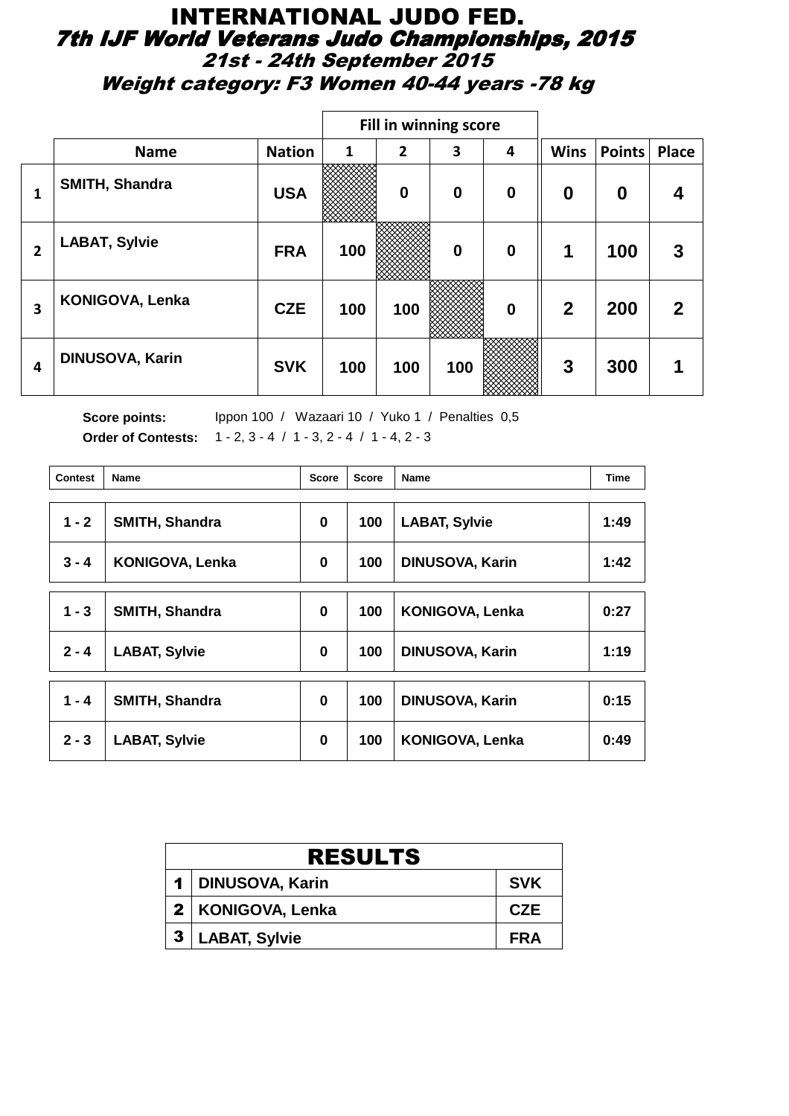#### INTERNATIONAL JUDO FED. 7th IJF World Veterans Judo Championships, 2015 21st - 24th September 2015 Weight category: F3 Women 40-44 years -78 kg

|                |                        |               |     |                | Fill in winning score |          |                  |                  |              |
|----------------|------------------------|---------------|-----|----------------|-----------------------|----------|------------------|------------------|--------------|
|                | <b>Name</b>            | <b>Nation</b> | 1   | $\overline{2}$ | 3                     | 4        | <b>Wins</b>      | <b>Points</b>    | <b>Place</b> |
| 1              | SMITH, Shandra         | <b>USA</b>    |     | $\bf{0}$       | $\bf{0}$              | $\bf{0}$ | $\boldsymbol{0}$ | $\boldsymbol{0}$ | 4            |
| $\overline{2}$ | <b>LABAT, Sylvie</b>   | <b>FRA</b>    | 100 |                | $\mathbf 0$           | $\bf{0}$ | $\mathbf 1$      | 100              | 3            |
| 3              | KONIGOVA, Lenka        | <b>CZE</b>    | 100 | 100            |                       | $\bf{0}$ | $\mathbf{2}$     | 200              | 2            |
| 4              | <b>DINUSOVA, Karin</b> | <b>SVK</b>    | 100 | 100            | 100                   |          | 3                | 300              |              |

Score points: Ippon 100 / Wazaari 10 / Yuko 1 / Penalties 0,5 **Order of Contests:** 1 - 2, 3 - 4 / 1 - 3, 2 - 4 / 1 - 4, 2 - 3

| Contest | <b>Name</b>            | <b>Score</b> | <b>Score</b> | <b>Name</b>            | <b>Time</b> |
|---------|------------------------|--------------|--------------|------------------------|-------------|
| $1 - 2$ | <b>SMITH, Shandra</b>  | 0            | 100          | <b>LABAT, Sylvie</b>   | 1:49        |
|         |                        |              |              |                        |             |
| $3 - 4$ | <b>KONIGOVA, Lenka</b> | 0            | 100          | <b>DINUSOVA, Karin</b> | 1:42        |
|         |                        |              |              |                        |             |
| $1 - 3$ | <b>SMITH, Shandra</b>  | 0            | 100          | <b>KONIGOVA, Lenka</b> | 0:27        |
| $2 - 4$ | <b>LABAT, Sylvie</b>   | 0            | 100          | <b>DINUSOVA, Karin</b> | 1:19        |
|         |                        |              |              |                        |             |
| $1 - 4$ | <b>SMITH, Shandra</b>  | 0            | 100          | <b>DINUSOVA, Karin</b> | 0:15        |
| $2 - 3$ | <b>LABAT, Sylvie</b>   | 0            | 100          | KONIGOVA, Lenka        | 0:49        |

| <b>RESULTS</b>   |                      |            |  |  |
|------------------|----------------------|------------|--|--|
|                  | 1   DINUSOVA, Karin  | <b>SVK</b> |  |  |
|                  | 2   KONIGOVA, Lenka  | <b>CZE</b> |  |  |
| $\boldsymbol{3}$ | <b>LABAT, Sylvie</b> | <b>FRA</b> |  |  |